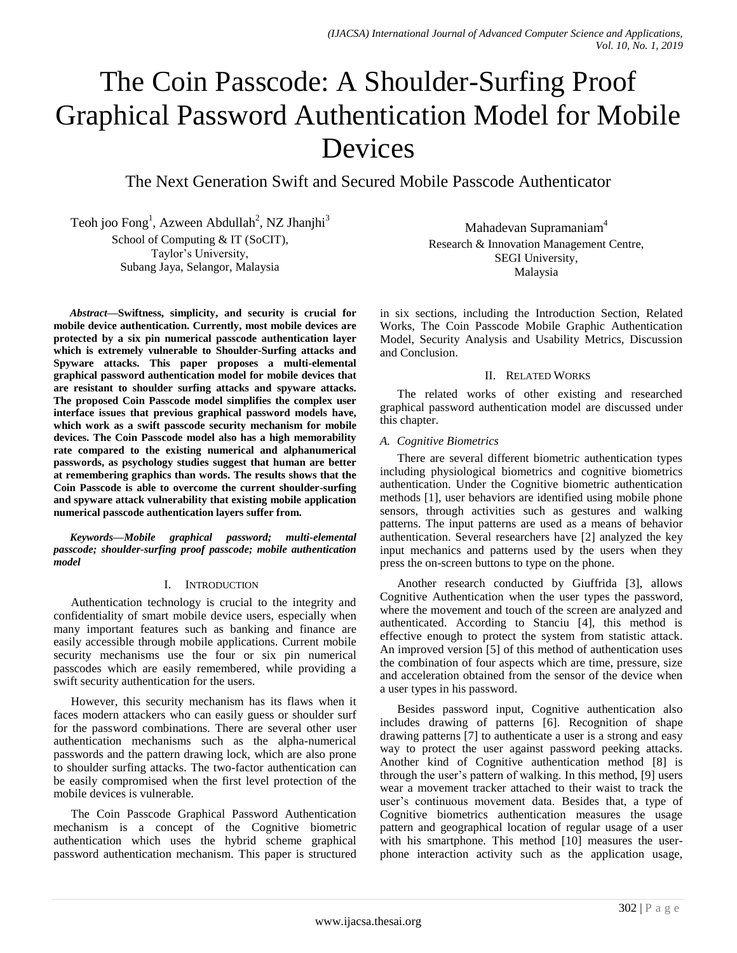# The Coin Passcode: A Shoulder-Surfing Proof Graphical Password Authentication Model for Mobile Devices

The Next Generation Swift and Secured Mobile Passcode Authenticator

Teoh joo Fong<sup>1</sup>, Azween Abdullah<sup>2</sup>, NZ Jhanjhi<sup>3</sup> School of Computing & IT (SoCIT), Taylor"s University, Subang Jaya, Selangor, Malaysia

*Abstract—***Swiftness, simplicity, and security is crucial for mobile device authentication. Currently, most mobile devices are protected by a six pin numerical passcode authentication layer which is extremely vulnerable to Shoulder-Surfing attacks and Spyware attacks. This paper proposes a multi-elemental graphical password authentication model for mobile devices that are resistant to shoulder surfing attacks and spyware attacks. The proposed Coin Passcode model simplifies the complex user interface issues that previous graphical password models have, which work as a swift passcode security mechanism for mobile devices. The Coin Passcode model also has a high memorability rate compared to the existing numerical and alphanumerical passwords, as psychology studies suggest that human are better at remembering graphics than words. The results shows that the Coin Passcode is able to overcome the current shoulder-surfing and spyware attack vulnerability that existing mobile application numerical passcode authentication layers suffer from.**

*Keywords—Mobile graphical password; multi-elemental passcode; shoulder-surfing proof passcode; mobile authentication model*

# I. INTRODUCTION

Authentication technology is crucial to the integrity and confidentiality of smart mobile device users, especially when many important features such as banking and finance are easily accessible through mobile applications. Current mobile security mechanisms use the four or six pin numerical passcodes which are easily remembered, while providing a swift security authentication for the users.

However, this security mechanism has its flaws when it faces modern attackers who can easily guess or shoulder surf for the password combinations. There are several other user authentication mechanisms such as the alpha-numerical passwords and the pattern drawing lock, which are also prone to shoulder surfing attacks. The two-factor authentication can be easily compromised when the first level protection of the mobile devices is vulnerable.

The Coin Passcode Graphical Password Authentication mechanism is a concept of the Cognitive biometric authentication which uses the hybrid scheme graphical password authentication mechanism. This paper is structured

Mahadevan Supramaniam<sup>4</sup> Research & Innovation Management Centre, SEGI University, Malaysia

in six sections, including the Introduction Section, Related Works, The Coin Passcode Mobile Graphic Authentication Model, Security Analysis and Usability Metrics, Discussion and Conclusion.

# II. RELATED WORKS

The related works of other existing and researched graphical password authentication model are discussed under this chapter.

# *A. Cognitive Biometrics*

There are several different biometric authentication types including physiological biometrics and cognitive biometrics authentication. Under the Cognitive biometric authentication methods [1], user behaviors are identified using mobile phone sensors, through activities such as gestures and walking patterns. The input patterns are used as a means of behavior authentication. Several researchers have [2] analyzed the key input mechanics and patterns used by the users when they press the on-screen buttons to type on the phone.

Another research conducted by Giuffrida [3], allows Cognitive Authentication when the user types the password, where the movement and touch of the screen are analyzed and authenticated. According to Stanciu [4], this method is effective enough to protect the system from statistic attack. An improved version [5] of this method of authentication uses the combination of four aspects which are time, pressure, size and acceleration obtained from the sensor of the device when a user types in his password.

Besides password input, Cognitive authentication also includes drawing of patterns [6]. Recognition of shape drawing patterns [7] to authenticate a user is a strong and easy way to protect the user against password peeking attacks. Another kind of Cognitive authentication method [8] is through the user"s pattern of walking. In this method, [9] users wear a movement tracker attached to their waist to track the user"s continuous movement data. Besides that, a type of Cognitive biometrics authentication measures the usage pattern and geographical location of regular usage of a user with his smartphone. This method [10] measures the userphone interaction activity such as the application usage,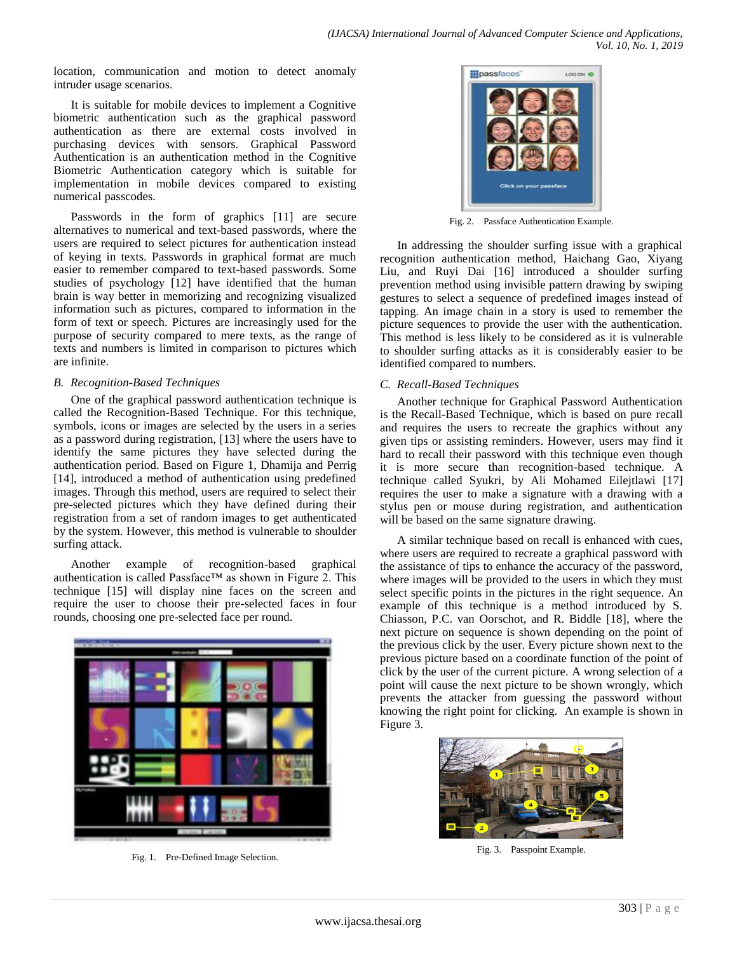location, communication and motion to detect anomaly intruder usage scenarios.

It is suitable for mobile devices to implement a Cognitive biometric authentication such as the graphical password authentication as there are external costs involved in purchasing devices with sensors. Graphical Password Authentication is an authentication method in the Cognitive Biometric Authentication category which is suitable for implementation in mobile devices compared to existing numerical passcodes.

Passwords in the form of graphics [11] are secure alternatives to numerical and text-based passwords, where the users are required to select pictures for authentication instead of keying in texts. Passwords in graphical format are much easier to remember compared to text-based passwords. Some studies of psychology [12] have identified that the human brain is way better in memorizing and recognizing visualized information such as pictures, compared to information in the form of text or speech. Pictures are increasingly used for the purpose of security compared to mere texts, as the range of texts and numbers is limited in comparison to pictures which are infinite.

# *B. Recognition-Based Techniques*

One of the graphical password authentication technique is called the Recognition-Based Technique. For this technique, symbols, icons or images are selected by the users in a series as a password during registration, [13] where the users have to identify the same pictures they have selected during the authentication period. Based on Figure 1, Dhamija and Perrig [14], introduced a method of authentication using predefined images. Through this method, users are required to select their pre-selected pictures which they have defined during their registration from a set of random images to get authenticated by the system. However, this method is vulnerable to shoulder surfing attack.

Another example of recognition-based graphical authentication is called Passface™ as shown in Figure 2. This technique [15] will display nine faces on the screen and require the user to choose their pre-selected faces in four rounds, choosing one pre-selected face per round.



Fig. 1. Pre-Defined Image Selection.



Fig. 2. Passface Authentication Example.

In addressing the shoulder surfing issue with a graphical recognition authentication method, Haichang Gao, Xiyang Liu, and Ruyi Dai [16] introduced a shoulder surfing prevention method using invisible pattern drawing by swiping gestures to select a sequence of predefined images instead of tapping. An image chain in a story is used to remember the picture sequences to provide the user with the authentication. This method is less likely to be considered as it is vulnerable to shoulder surfing attacks as it is considerably easier to be identified compared to numbers.

# *C. Recall-Based Techniques*

Another technique for Graphical Password Authentication is the Recall-Based Technique, which is based on pure recall and requires the users to recreate the graphics without any given tips or assisting reminders. However, users may find it hard to recall their password with this technique even though it is more secure than recognition-based technique. A technique called Syukri, by Ali Mohamed Eilejtlawi [17] requires the user to make a signature with a drawing with a stylus pen or mouse during registration, and authentication will be based on the same signature drawing.

A similar technique based on recall is enhanced with cues, where users are required to recreate a graphical password with the assistance of tips to enhance the accuracy of the password, where images will be provided to the users in which they must select specific points in the pictures in the right sequence. An example of this technique is a method introduced by S. Chiasson, P.C. van Oorschot, and R. Biddle [18], where the next picture on sequence is shown depending on the point of the previous click by the user. Every picture shown next to the previous picture based on a coordinate function of the point of click by the user of the current picture. A wrong selection of a point will cause the next picture to be shown wrongly, which prevents the attacker from guessing the password without knowing the right point for clicking. An example is shown in Figure 3.



Fig. 3. Passpoint Example.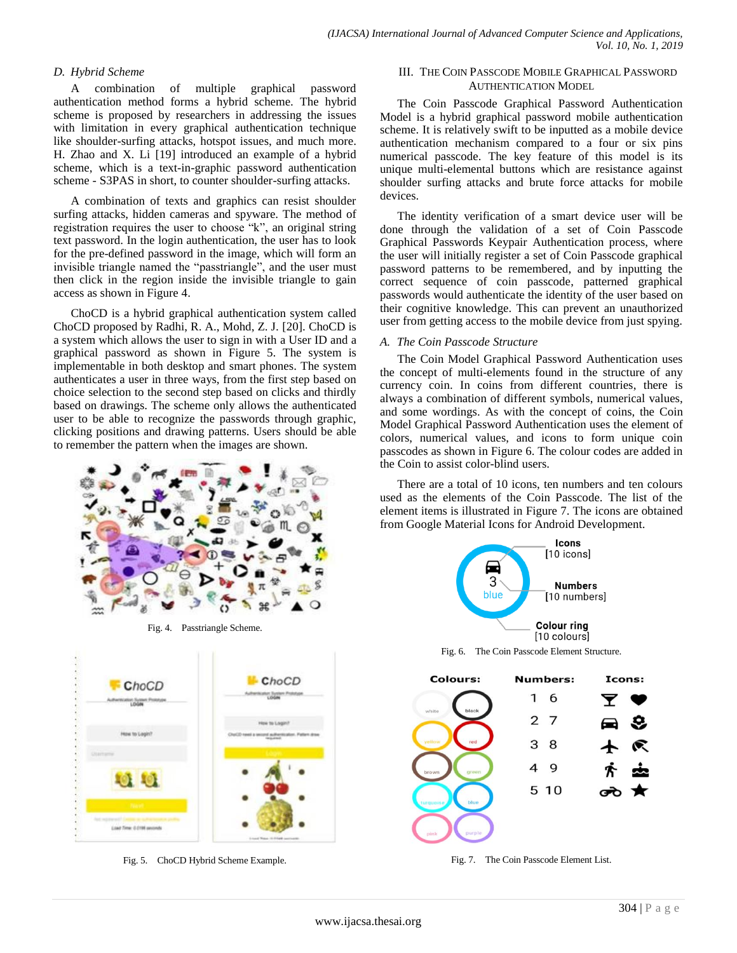# *D. Hybrid Scheme*

A combination of multiple graphical password authentication method forms a hybrid scheme. The hybrid scheme is proposed by researchers in addressing the issues with limitation in every graphical authentication technique like shoulder-surfing attacks, hotspot issues, and much more. H. Zhao and X. Li [19] introduced an example of a hybrid scheme, which is a text-in-graphic password authentication scheme - S3PAS in short, to counter shoulder-surfing attacks.

A combination of texts and graphics can resist shoulder surfing attacks, hidden cameras and spyware. The method of registration requires the user to choose "k", an original string text password. In the login authentication, the user has to look for the pre-defined password in the image, which will form an invisible triangle named the "passtriangle", and the user must then click in the region inside the invisible triangle to gain access as shown in Figure 4.

ChoCD is a hybrid graphical authentication system called ChoCD proposed by Radhi, R. A., Mohd, Z. J. [20]. ChoCD is a system which allows the user to sign in with a User ID and a graphical password as shown in Figure 5. The system is implementable in both desktop and smart phones. The system authenticates a user in three ways, from the first step based on choice selection to the second step based on clicks and thirdly based on drawings. The scheme only allows the authenticated user to be able to recognize the passwords through graphic, clicking positions and drawing patterns. Users should be able to remember the pattern when the images are shown.



Fig. 4. Passtriangle Scheme.



Fig. 5. ChoCD Hybrid Scheme Example.

## III. THE COIN PASSCODE MOBILE GRAPHICAL PASSWORD AUTHENTICATION MODEL

The Coin Passcode Graphical Password Authentication Model is a hybrid graphical password mobile authentication scheme. It is relatively swift to be inputted as a mobile device authentication mechanism compared to a four or six pins numerical passcode. The key feature of this model is its unique multi-elemental buttons which are resistance against shoulder surfing attacks and brute force attacks for mobile devices.

The identity verification of a smart device user will be done through the validation of a set of Coin Passcode Graphical Passwords Keypair Authentication process, where the user will initially register a set of Coin Passcode graphical password patterns to be remembered, and by inputting the correct sequence of coin passcode, patterned graphical passwords would authenticate the identity of the user based on their cognitive knowledge. This can prevent an unauthorized user from getting access to the mobile device from just spying.

## *A. The Coin Passcode Structure*

The Coin Model Graphical Password Authentication uses the concept of multi-elements found in the structure of any currency coin. In coins from different countries, there is always a combination of different symbols, numerical values, and some wordings. As with the concept of coins, the Coin Model Graphical Password Authentication uses the element of colors, numerical values, and icons to form unique coin passcodes as shown in Figure 6. The colour codes are added in the Coin to assist color-blind users.

There are a total of 10 icons, ten numbers and ten colours used as the elements of the Coin Passcode. The list of the element items is illustrated in Figure 7. The icons are obtained from Google Material Icons for Android Development.



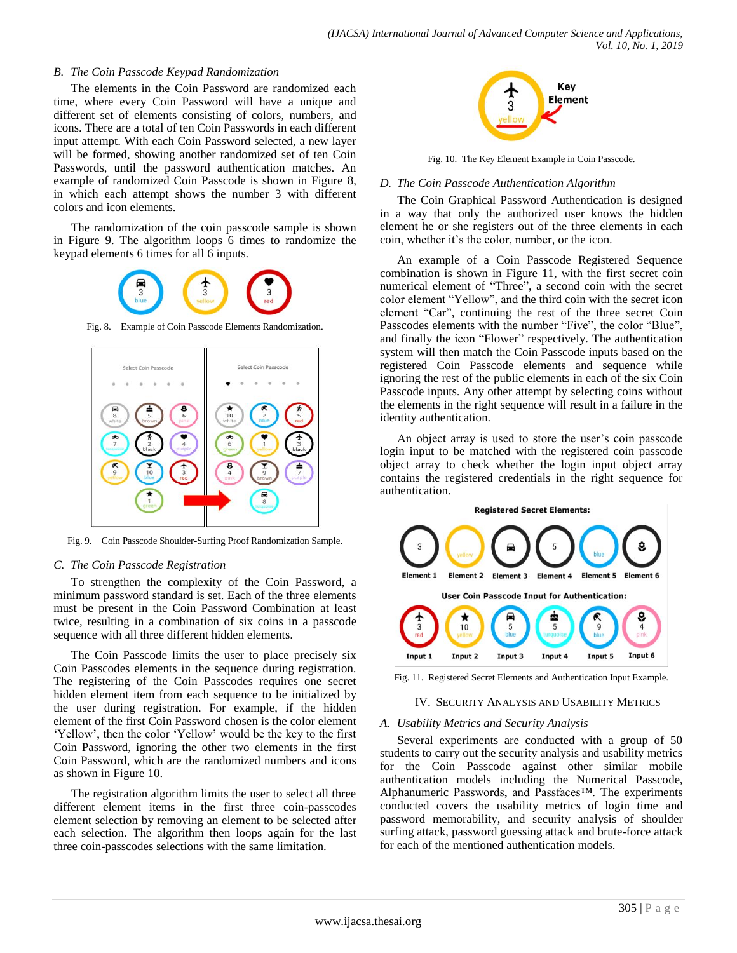### *B. The Coin Passcode Keypad Randomization*

The elements in the Coin Password are randomized each time, where every Coin Password will have a unique and different set of elements consisting of colors, numbers, and icons. There are a total of ten Coin Passwords in each different input attempt. With each Coin Password selected, a new layer will be formed, showing another randomized set of ten Coin Passwords, until the password authentication matches. An example of randomized Coin Passcode is shown in Figure 8, in which each attempt shows the number 3 with different colors and icon elements.

The randomization of the coin passcode sample is shown in Figure 9. The algorithm loops 6 times to randomize the keypad elements 6 times for all 6 inputs.



Fig. 9. Coin Passcode Shoulder-Surfing Proof Randomization Sample.

## *C. The Coin Passcode Registration*

To strengthen the complexity of the Coin Password, a minimum password standard is set. Each of the three elements must be present in the Coin Password Combination at least twice, resulting in a combination of six coins in a passcode sequence with all three different hidden elements.

The Coin Passcode limits the user to place precisely six Coin Passcodes elements in the sequence during registration. The registering of the Coin Passcodes requires one secret hidden element item from each sequence to be initialized by the user during registration. For example, if the hidden element of the first Coin Password chosen is the color element "Yellow", then the color "Yellow" would be the key to the first Coin Password, ignoring the other two elements in the first Coin Password, which are the randomized numbers and icons as shown in Figure 10.

The registration algorithm limits the user to select all three different element items in the first three coin-passcodes element selection by removing an element to be selected after each selection. The algorithm then loops again for the last three coin-passcodes selections with the same limitation.



Fig. 10. The Key Element Example in Coin Passcode.

#### *D. The Coin Passcode Authentication Algorithm*

The Coin Graphical Password Authentication is designed in a way that only the authorized user knows the hidden element he or she registers out of the three elements in each coin, whether it"s the color, number, or the icon.

An example of a Coin Passcode Registered Sequence combination is shown in Figure 11, with the first secret coin numerical element of "Three", a second coin with the secret color element "Yellow", and the third coin with the secret icon element "Car", continuing the rest of the three secret Coin Passcodes elements with the number "Five", the color "Blue", and finally the icon "Flower" respectively. The authentication system will then match the Coin Passcode inputs based on the registered Coin Passcode elements and sequence while ignoring the rest of the public elements in each of the six Coin Passcode inputs. Any other attempt by selecting coins without the elements in the right sequence will result in a failure in the identity authentication.

An object array is used to store the user's coin passcode login input to be matched with the registered coin passcode object array to check whether the login input object array contains the registered credentials in the right sequence for authentication.



Fig. 11. Registered Secret Elements and Authentication Input Example.

#### IV. SECURITY ANALYSIS AND USABILITY METRICS

#### *A. Usability Metrics and Security Analysis*

Several experiments are conducted with a group of 50 students to carry out the security analysis and usability metrics for the Coin Passcode against other similar mobile authentication models including the Numerical Passcode, Alphanumeric Passwords, and Passfaces™. The experiments conducted covers the usability metrics of login time and password memorability, and security analysis of shoulder surfing attack, password guessing attack and brute-force attack for each of the mentioned authentication models.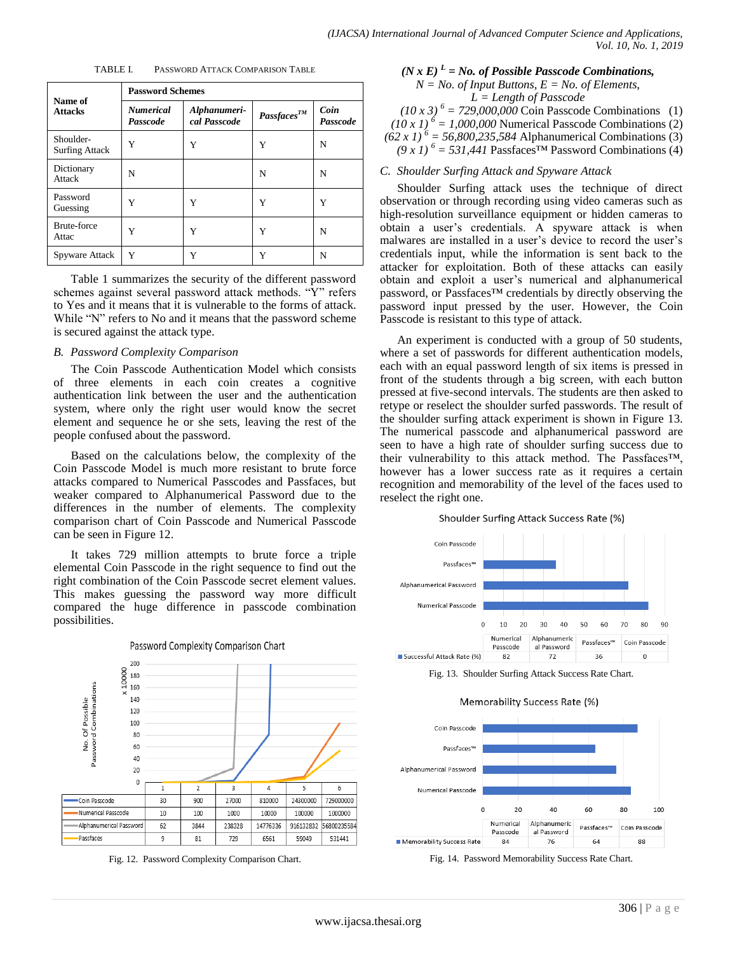| Name of<br><b>Attacks</b>          | <b>Password Schemes</b>      |                              |                  |                  |
|------------------------------------|------------------------------|------------------------------|------------------|------------------|
|                                    | <b>Numerical</b><br>Passcode | Alphanumeri-<br>cal Passcode | $Passfaces^{TM}$ | Coin<br>Passcode |
| Shoulder-<br><b>Surfing Attack</b> | Y                            | Y                            | Y                | N                |
| Dictionary<br>Attack               | N                            |                              | N                | N                |
| Password<br>Guessing               | Y                            | Y                            | Y                |                  |
| Brute-force<br>Attac               | Y                            | Y                            | Y                | N                |
| Spyware Attack                     | Y                            | Y                            | Y                | N                |

TABLE I. PASSWORD ATTACK COMPARISON TABLE

Table 1 summarizes the security of the different password schemes against several password attack methods. "Y" refers to Yes and it means that it is vulnerable to the forms of attack. While "N" refers to No and it means that the password scheme is secured against the attack type.

#### *B. Password Complexity Comparison*

The Coin Passcode Authentication Model which consists of three elements in each coin creates a cognitive authentication link between the user and the authentication system, where only the right user would know the secret element and sequence he or she sets, leaving the rest of the people confused about the password.

Based on the calculations below, the complexity of the Coin Passcode Model is much more resistant to brute force attacks compared to Numerical Passcodes and Passfaces, but weaker compared to Alphanumerical Password due to the differences in the number of elements. The complexity comparison chart of Coin Passcode and Numerical Passcode can be seen in Figure 12.

It takes 729 million attempts to brute force a triple elemental Coin Passcode in the right sequence to find out the right combination of the Coin Passcode secret element values. This makes guessing the password way more difficult compared the huge difference in passcode combination possibilities.



Fig. 12. Password Complexity Comparison Chart.



 $(10 \times 3)^6 = 729,000,000$  Coin Passcode Combinations (1)  $(10 \times 1)$ <sup>6</sup> = 1,000,000 Numerical Passcode Combinations (2) *(62 x 1) <sup>6</sup> = 56,800,235,584* Alphanumerical Combinations (3)  $(9 \times 1)^6$  = 531,441 Passfaces<sup>TM</sup> Password Combinations (4)

#### *C. Shoulder Surfing Attack and Spyware Attack*

Shoulder Surfing attack uses the technique of direct observation or through recording using video cameras such as high-resolution surveillance equipment or hidden cameras to obtain a user"s credentials. A spyware attack is when malwares are installed in a user's device to record the user's credentials input, while the information is sent back to the attacker for exploitation. Both of these attacks can easily obtain and exploit a user"s numerical and alphanumerical password, or Passfaces™ credentials by directly observing the password input pressed by the user. However, the Coin Passcode is resistant to this type of attack.

An experiment is conducted with a group of 50 students, where a set of passwords for different authentication models, each with an equal password length of six items is pressed in front of the students through a big screen, with each button pressed at five-second intervals. The students are then asked to retype or reselect the shoulder surfed passwords. The result of the shoulder surfing attack experiment is shown in Figure 13. The numerical passcode and alphanumerical password are seen to have a high rate of shoulder surfing success due to their vulnerability to this attack method. The Passfaces™, however has a lower success rate as it requires a certain recognition and memorability of the level of the faces used to reselect the right one.

#### Shoulder Surfing Attack Success Rate (%)





Memorability Success Rate (%)



Fig. 14. Password Memorability Success Rate Chart.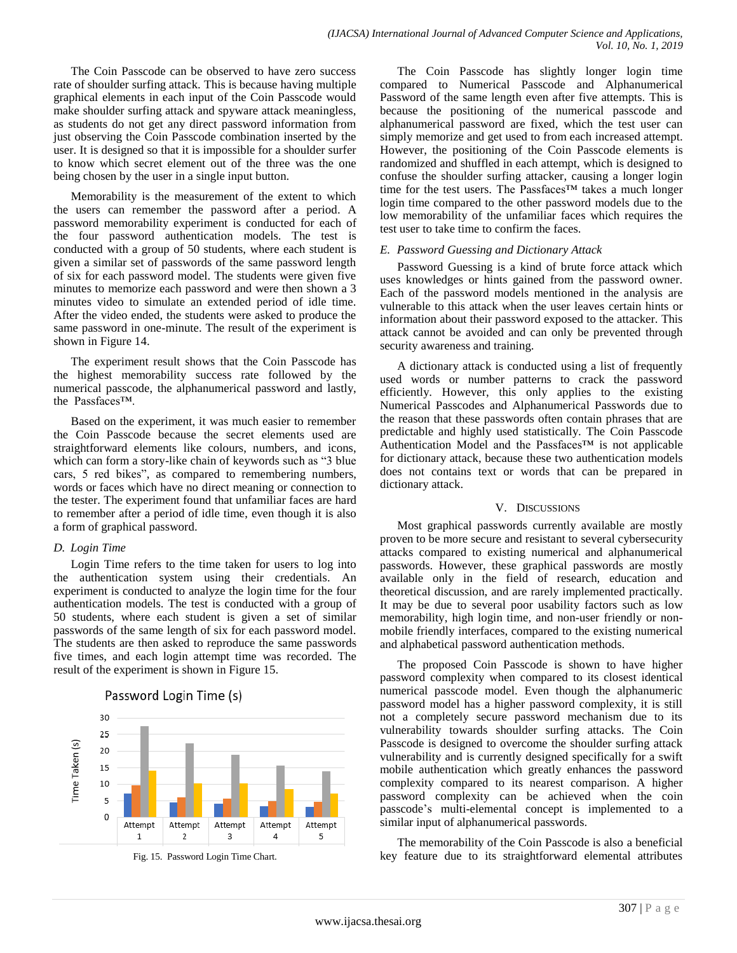The Coin Passcode can be observed to have zero success rate of shoulder surfing attack. This is because having multiple graphical elements in each input of the Coin Passcode would make shoulder surfing attack and spyware attack meaningless, as students do not get any direct password information from just observing the Coin Passcode combination inserted by the user. It is designed so that it is impossible for a shoulder surfer to know which secret element out of the three was the one being chosen by the user in a single input button.

Memorability is the measurement of the extent to which the users can remember the password after a period. A password memorability experiment is conducted for each of the four password authentication models. The test is conducted with a group of 50 students, where each student is given a similar set of passwords of the same password length of six for each password model. The students were given five minutes to memorize each password and were then shown a 3 minutes video to simulate an extended period of idle time. After the video ended, the students were asked to produce the same password in one-minute. The result of the experiment is shown in Figure 14.

The experiment result shows that the Coin Passcode has the highest memorability success rate followed by the numerical passcode, the alphanumerical password and lastly, the Passfaces™.

Based on the experiment, it was much easier to remember the Coin Passcode because the secret elements used are straightforward elements like colours, numbers, and icons, which can form a story-like chain of keywords such as "3 blue cars, 5 red bikes", as compared to remembering numbers, words or faces which have no direct meaning or connection to the tester. The experiment found that unfamiliar faces are hard to remember after a period of idle time, even though it is also a form of graphical password.

## *D. Login Time*

Login Time refers to the time taken for users to log into the authentication system using their credentials. An experiment is conducted to analyze the login time for the four authentication models. The test is conducted with a group of 50 students, where each student is given a set of similar passwords of the same length of six for each password model. The students are then asked to reproduce the same passwords five times, and each login attempt time was recorded. The result of the experiment is shown in Figure 15.



Fig. 15. Password Login Time Chart.

The Coin Passcode has slightly longer login time compared to Numerical Passcode and Alphanumerical Password of the same length even after five attempts. This is because the positioning of the numerical passcode and alphanumerical password are fixed, which the test user can simply memorize and get used to from each increased attempt. However, the positioning of the Coin Passcode elements is randomized and shuffled in each attempt, which is designed to confuse the shoulder surfing attacker, causing a longer login time for the test users. The Passfaces™ takes a much longer login time compared to the other password models due to the low memorability of the unfamiliar faces which requires the test user to take time to confirm the faces.

# *E. Password Guessing and Dictionary Attack*

Password Guessing is a kind of brute force attack which uses knowledges or hints gained from the password owner. Each of the password models mentioned in the analysis are vulnerable to this attack when the user leaves certain hints or information about their password exposed to the attacker. This attack cannot be avoided and can only be prevented through security awareness and training.

A dictionary attack is conducted using a list of frequently used words or number patterns to crack the password efficiently. However, this only applies to the existing Numerical Passcodes and Alphanumerical Passwords due to the reason that these passwords often contain phrases that are predictable and highly used statistically. The Coin Passcode Authentication Model and the Passfaces™ is not applicable for dictionary attack, because these two authentication models does not contains text or words that can be prepared in dictionary attack.

## V. DISCUSSIONS

Most graphical passwords currently available are mostly proven to be more secure and resistant to several cybersecurity attacks compared to existing numerical and alphanumerical passwords. However, these graphical passwords are mostly available only in the field of research, education and theoretical discussion, and are rarely implemented practically. It may be due to several poor usability factors such as low memorability, high login time, and non-user friendly or nonmobile friendly interfaces, compared to the existing numerical and alphabetical password authentication methods.

The proposed Coin Passcode is shown to have higher password complexity when compared to its closest identical numerical passcode model. Even though the alphanumeric password model has a higher password complexity, it is still not a completely secure password mechanism due to its vulnerability towards shoulder surfing attacks. The Coin Passcode is designed to overcome the shoulder surfing attack vulnerability and is currently designed specifically for a swift mobile authentication which greatly enhances the password complexity compared to its nearest comparison. A higher password complexity can be achieved when the coin passcode"s multi-elemental concept is implemented to a similar input of alphanumerical passwords.

The memorability of the Coin Passcode is also a beneficial key feature due to its straightforward elemental attributes